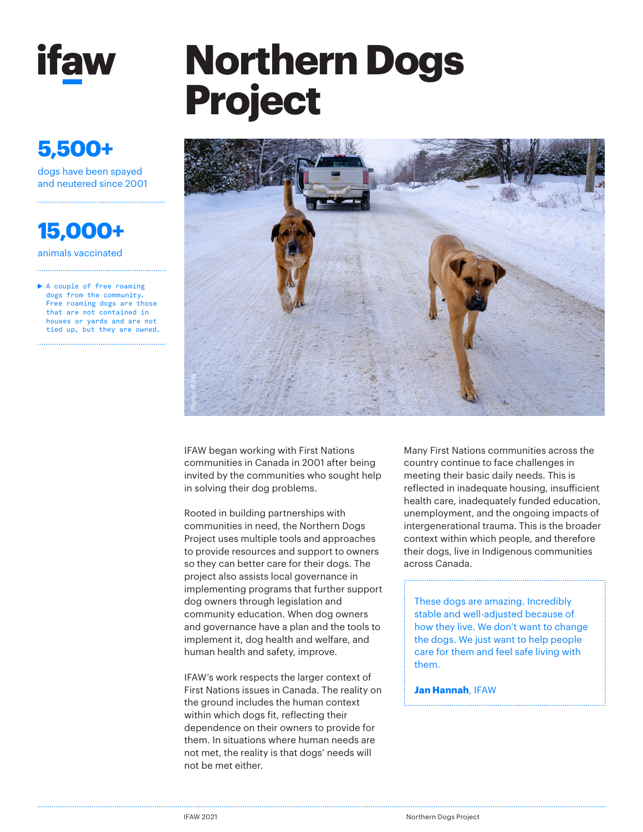

### **5,500+**

dogs have been spayed and neutered since 2001

**15,000+**

animals vaccinated

A couple of free roaming dogs from the community. Free roaming dogs are those that are not contained in houses or yards and are not tied up, but they are owned.

# **Northern Dogs Project**



IFAW began working with First Nations communities in Canada in 2001 after being invited by the communities who sought help in solving their dog problems.

Rooted in building partnerships with communities in need, the Northern Dogs Project uses multiple tools and approaches to provide resources and support to owners so they can better care for their dogs. The project also assists local governance in implementing programs that further support dog owners through legislation and community education. When dog owners and governance have a plan and the tools to implement it, dog health and welfare, and human health and safety, improve.

IFAW's work respects the larger context of First Nations issues in Canada. The reality on the ground includes the human context within which dogs fit, reflecting their dependence on their owners to provide for them. In situations where human needs are not met, the reality is that dogs' needs will not be met either.

Many First Nations communities across the country continue to face challenges in meeting their basic daily needs. This is reflected in inadequate housing, insufficient health care, inadequately funded education, unemployment, and the ongoing impacts of intergenerational trauma. This is the broader context within which people, and therefore their dogs, live in Indigenous communities across Canada.

These dogs are amazing. Incredibly stable and well-adjusted because of how they live. We don't want to change the dogs. We just want to help people care for them and feel safe living with them.

### **Jan Hannah**, IFAW